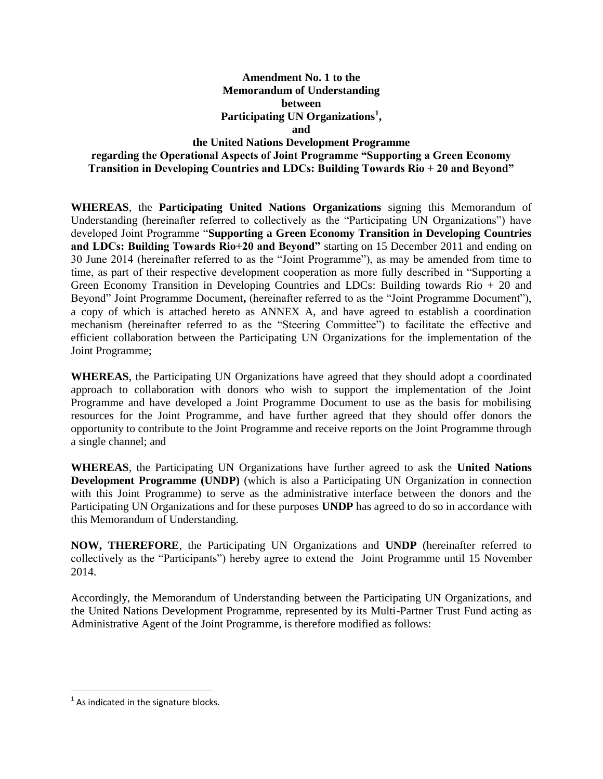## **Amendment No. 1 to the Memorandum of Understanding between Participating UN Organizations<sup>1</sup> , and the United Nations Development Programme regarding the Operational Aspects of Joint Programme "Supporting a Green Economy Transition in Developing Countries and LDCs: Building Towards Rio + 20 and Beyond"**

**WHEREAS**, the **Participating United Nations Organizations** signing this Memorandum of Understanding (hereinafter referred to collectively as the "Participating UN Organizations") have developed Joint Programme "**Supporting a Green Economy Transition in Developing Countries and LDCs: Building Towards Rio+20 and Beyond"** starting on 15 December 2011 and ending on 30 June 2014 (hereinafter referred to as the "Joint Programme"), as may be amended from time to time, as part of their respective development cooperation as more fully described in "Supporting a Green Economy Transition in Developing Countries and LDCs: Building towards Rio + 20 and Beyond" Joint Programme Document**,** (hereinafter referred to as the "Joint Programme Document"), a copy of which is attached hereto as ANNEX A, and have agreed to establish a coordination mechanism (hereinafter referred to as the "Steering Committee") to facilitate the effective and efficient collaboration between the Participating UN Organizations for the implementation of the Joint Programme;

**WHEREAS**, the Participating UN Organizations have agreed that they should adopt a coordinated approach to collaboration with donors who wish to support the implementation of the Joint Programme and have developed a Joint Programme Document to use as the basis for mobilising resources for the Joint Programme, and have further agreed that they should offer donors the opportunity to contribute to the Joint Programme and receive reports on the Joint Programme through a single channel; and

**WHEREAS**, the Participating UN Organizations have further agreed to ask the **United Nations Development Programme (UNDP)** (which is also a Participating UN Organization in connection with this Joint Programme) to serve as the administrative interface between the donors and the Participating UN Organizations and for these purposes **UNDP** has agreed to do so in accordance with this Memorandum of Understanding.

**NOW, THEREFORE**, the Participating UN Organizations and **UNDP** (hereinafter referred to collectively as the "Participants") hereby agree to extend the Joint Programme until 15 November 2014.

Accordingly, the Memorandum of Understanding between the Participating UN Organizations, and the United Nations Development Programme, represented by its Multi-Partner Trust Fund acting as Administrative Agent of the Joint Programme, is therefore modified as follows:

 $\overline{\phantom{a}}$ 

 $<sup>1</sup>$  As indicated in the signature blocks.</sup>